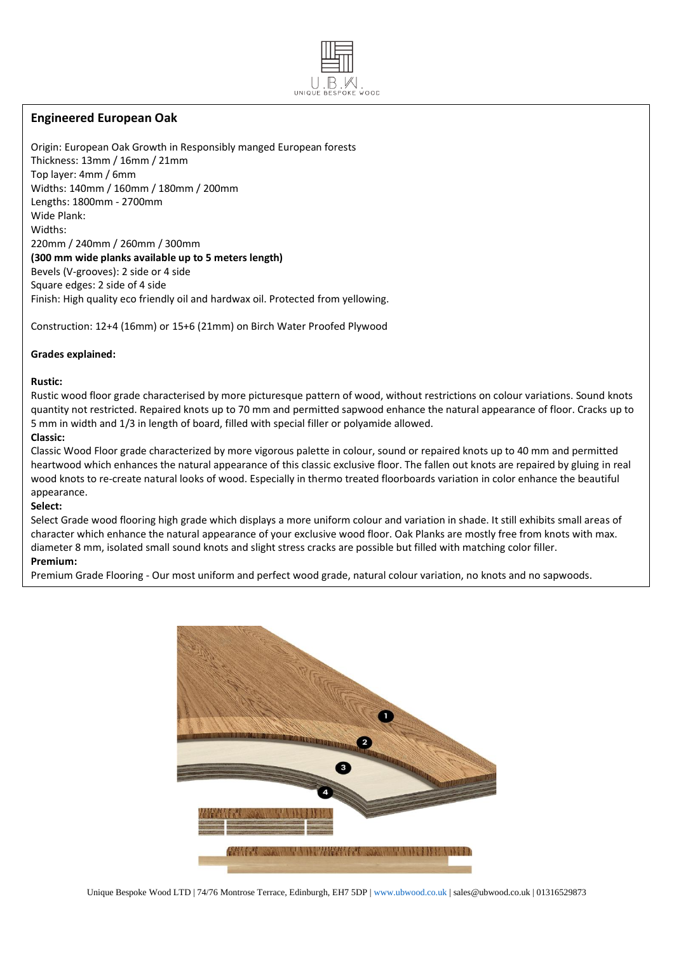# **Engineered European Oak**

Origin: European Oak Growth in Responsibly manged European forests Thickness: 13mm / 16mm / 21mm Top layer: 4mm / 6mm Widths: 140mm / 160mm / 180mm / 200mm Lengths: 1800mm - 2700mm Wide Plank: Widths: 220mm / 240mm / 260mm / 300mm **(300 mm wide planks available up to 5 meters length)** Bevels (V-grooves): 2 side or 4 side Square edges: 2 side of 4 side Finish: High quality eco friendly oil and hardwax oil. Protected from yellowing.

Construction: 12+4 (16mm) or 15+6 (21mm) on Birch Water Proofed Plywood

#### **Grades explained:**

**Rustic:** 

Rustic wood floor grade characterised by more picturesque pattern of wood, without restrictions on colour variations. Sound knots quantity not restricted. Repaired knots up to 70 mm and permitted sapwood enhance the natural appearance of floor. Cracks up to 5 mm in width and 1/3 in length of board, filled with special filler or polyamide allowed.

UNIQUE

#### **Classic:**

Classic Wood Floor grade characterized by more vigorous palette in colour, sound or repaired knots up to 40 mm and permitted heartwood which enhances the natural appearance of this classic exclusive floor. The fallen out knots are repaired by gluing in real wood knots to re-create natural looks of wood. Especially in thermo treated floorboards variation in color enhance the beautiful appearance.

## **Select:**

Select Grade wood flooring high grade which displays a more uniform colour and variation in shade. It still exhibits small areas of character which enhance the natural appearance of your exclusive wood floor. Oak Planks are mostly free from knots with max. diameter 8 mm, isolated small sound knots and slight stress cracks are possible but filled with matching color filler.

### **Premium:**

Premium Grade Flooring - Our most uniform and perfect wood grade, natural colour variation, no knots and no sapwoods.



Unique Bespoke Wood LTD | 74/76 Montrose Terrace, Edinburgh, EH7 5DP | www.ubwood.co.uk | sales@ubwood.co.uk | 01316529873